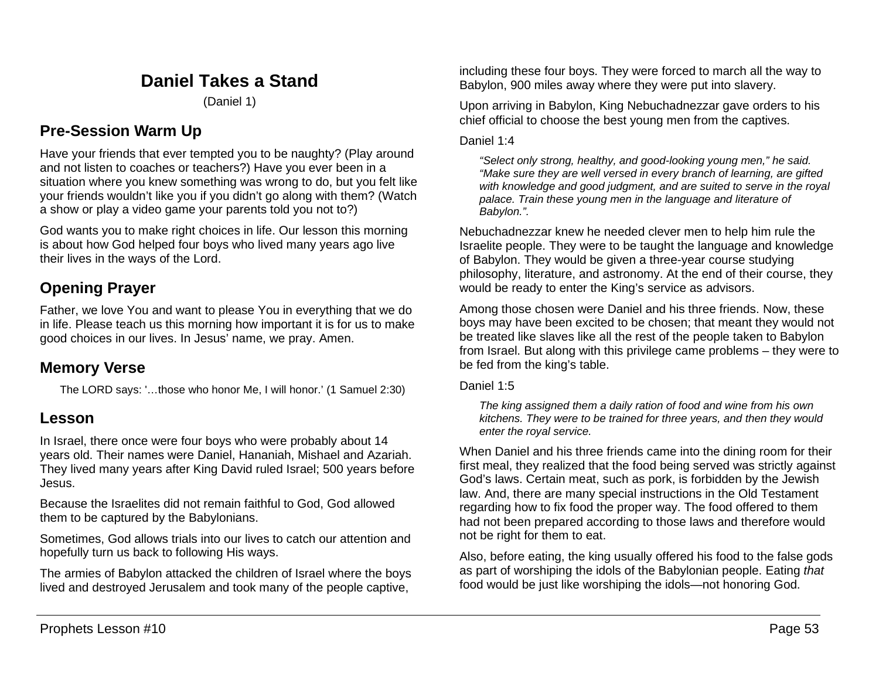# **Daniel Takes a Stand**

(Daniel 1)

# **Pre-Session Warm Up**

Have your friends that ever tempted you to be naughty? (Play around and not listen to coaches or teachers?) Have you ever been in a situation where you knew something was wrong to do, but you felt like your friends wouldn't like you if you didn't go along with them? (Watch a show or play a video game your parents told you not to?)

God wants you to make right choices in life. Our lesson this morning is about how God helped four boys who lived many years ago live their lives in the ways of the Lord.

# **Opening Prayer**

Father, we love You and want to please You in everything that we do in life. Please teach us this morning how important it is for us to make good choices in our lives. In Jesus' name, we pray. Amen.

# **Memory Verse**

The LORD says: '…those who honor Me, I will honor.' (1 Samuel 2:30)

# **Lesson**

In Israel, there once were four boys who were probably about 14 years old. Their names were Daniel, Hananiah, Mishael and Azariah. They lived many years after King David ruled Israel; 500 years before Jesus.

Because the Israelites did not remain faithful to God, God allowed them to be captured by the Babylonians.

Sometimes, God allows trials into our lives to catch our attention and hopefully turn us back to following His ways.

The armies of Babylon attacked the children of Israel where the boys lived and destroyed Jerusalem and took many of the people captive,

including these four boys. They were forced to march all the way to Babylon, 900 miles away where they were put into slavery.

Upon arriving in Babylon, King Nebuchadnezzar gave orders to his chief official to choose the best young men from the captives.

## Daniel 1:4

*"Select only strong, healthy, and good-looking young men," he said. "Make sure they are well versed in every branch of learning, are gifted with knowledge and good judgment, and are suited to serve in the royal palace. Train these young men in the language and literature of Babylon.".*

Nebuchadnezzar knew he needed clever men to help him rule the Israelite people. They were to be taught the language and knowledge of Babylon. They would be given a three-year course studying philosophy, literature, and astronomy. At the end of their course, they would be ready to enter the King's service as advisors.

Among those chosen were Daniel and his three friends. Now, these boys may have been excited to be chosen; that meant they would not be treated like slaves like all the rest of the people taken to Babylon from Israel. But along with this privilege came problems – they were to be fed from the king's table.

Daniel 1:5

*The king assigned them a daily ration of food and wine from his own kitchens. They were to be trained for three years, and then they would enter the royal service.*

When Daniel and his three friends came into the dining room for their first meal, they realized that the food being served was strictly against God's laws. Certain meat, such as pork, is forbidden by the Jewish law. And, there are many special instructions in the Old Testament regarding how to fix food the proper way. The food offered to them had not been prepared according to those laws and therefore would not be right for them to eat.

Also, before eating, the king usually offered his food to the false gods as part of worshiping the idols of the Babylonian people. Eating *that* food would be just like worshiping the idols—not honoring God.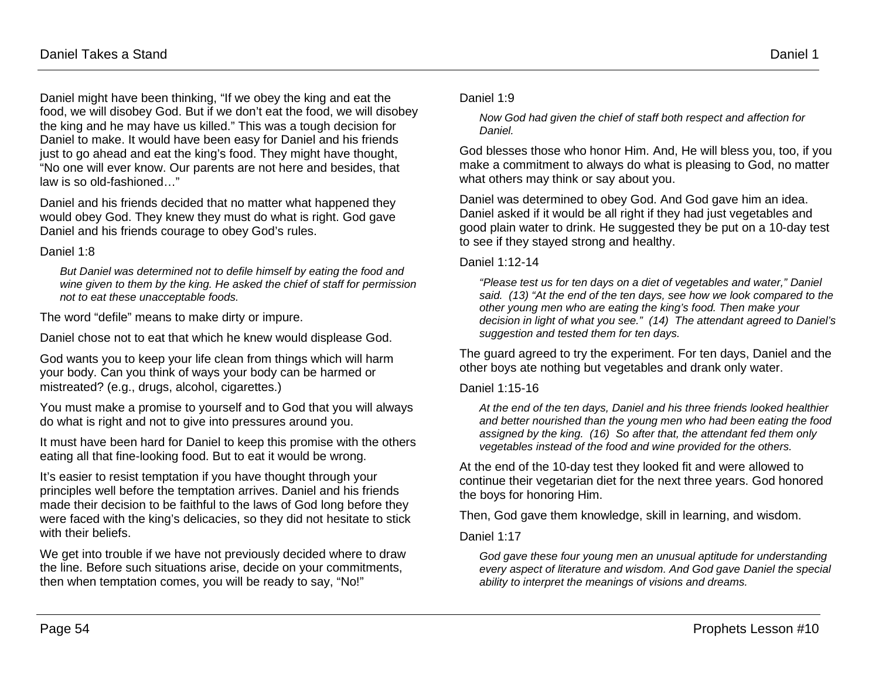Daniel 1:8

Daniel might have been thinking, "If we obey the king and eat the food, we will disobey God. But if we don't eat the food, we will disobey the king and he may have us killed." This was a tough decision for Daniel to make. It would have been easy for Daniel and his friends just to go ahead and eat the king's food. They might have thought, "No one will ever know. Our parents are not here and besides, that law is so old-fashioned…"

Daniel and his friends decided that no matter what happened they would obey God. They knew they must do what is right. God gave Daniel and his friends courage to obey God's rules.

*But Daniel was determined not to defile himself by eating the food and wine given to them by the king. He asked the chief of staff for permission not to eat these unacceptable foods.*

The word "defile" means to make dirty or impure.

Daniel chose not to eat that which he knew would displease God.

God wants you to keep your life clean from things which will harm your body. Can you think of ways your body can be harmed or mistreated? (e.g., drugs, alcohol, cigarettes.)

You must make a promise to yourself and to God that you will always do what is right and not to give into pressures around you.

It must have been hard for Daniel to keep this promise with the others eating all that fine-looking food. But to eat it would be wrong.

It's easier to resist temptation if you have thought through your principles well before the temptation arrives. Daniel and his friends made their decision to be faithful to the laws of God long before they were faced with the king's delicacies, so they did not hesitate to stick with their beliefs.

We get into trouble if we have not previously decided where to draw the line. Before such situations arise, decide on your commitments, then when temptation comes, you will be ready to say, "No!"

#### Daniel 1:9

*Now God had given the chief of staff both respect and affection for Daniel.*

God blesses those who honor Him. And, He will bless you, too, if you make a commitment to always do what is pleasing to God, no matter what others may think or say about you.

Daniel was determined to obey God. And God gave him an idea. Daniel asked if it would be all right if they had just vegetables and good plain water to drink. He suggested they be put on a 10-day test to see if they stayed strong and healthy.

Daniel 1:12-14

*"Please test us for ten days on a diet of vegetables and water," Daniel said. (13) "At the end of the ten days, see how we look compared to the other young men who are eating the king's food. Then make your decision in light of what you see." (14) The attendant agreed to Daniel's suggestion and tested them for ten days.*

The guard agreed to try the experiment. For ten days, Daniel and the other boys ate nothing but vegetables and drank only water.

Daniel 1:15-16

*At the end of the ten days, Daniel and his three friends looked healthier and better nourished than the young men who had been eating the food assigned by the king. (16) So after that, the attendant fed them only vegetables instead of the food and wine provided for the others.*

At the end of the 10-day test they looked fit and were allowed to continue their vegetarian diet for the next three years. God honored the boys for honoring Him.

Then, God gave them knowledge, skill in learning, and wisdom.

Daniel 1:17

*God gave these four young men an unusual aptitude for understanding every aspect of literature and wisdom. And God gave Daniel the special ability to interpret the meanings of visions and dreams.*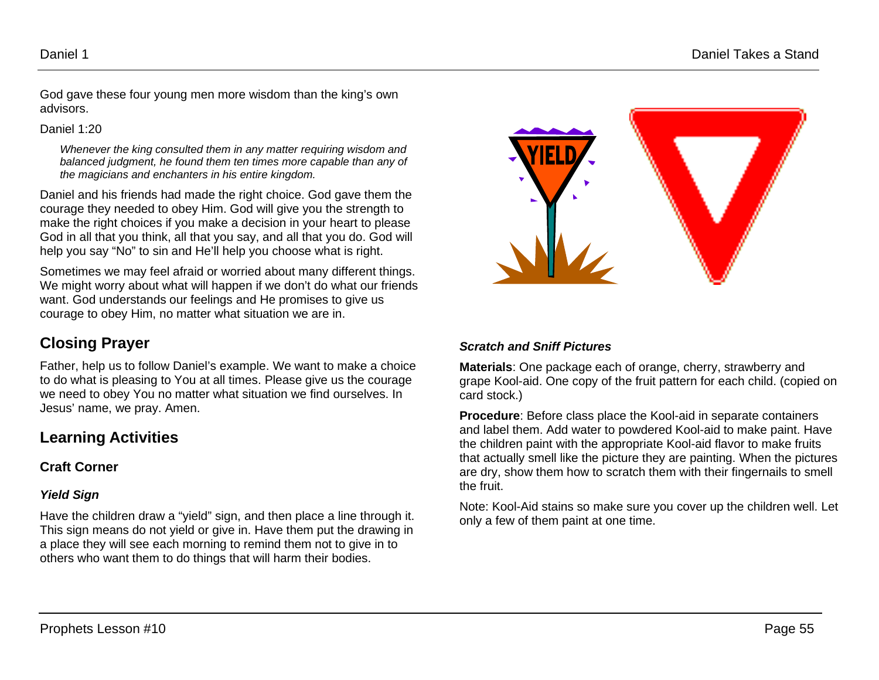God gave these four young men more wisdom than the king's own advisors.

Daniel 1:20

*Whenever the king consulted them in any matter requiring wisdom and balanced judgment, he found them ten times more capable than any of the magicians and enchanters in his entire kingdom.*

Daniel and his friends had made the right choice. God gave them the courage they needed to obey Him. God will give you the strength to make the right choices if you make a decision in your heart to please God in all that you think, all that you say, and all that you do. God will help you say "No" to sin and He'll help you choose what is right.

Sometimes we may feel afraid or worried about many different things. We might worry about what will happen if we don't do what our friends want. God understands our feelings and He promises to give us courage to obey Him, no matter what situation we are in.

# **Closing Prayer**

Father, help us to follow Daniel's example. We want to make a choice to do what is pleasing to You at all times. Please give us the courage we need to obey You no matter what situation we find ourselves. In Jesus' name, we pray. Amen.

# **Learning Activities**

## **Craft Corner**

## *Yield Sign*

Have the children draw a "yield" sign, and then place a line through it. This sign means do not yield or give in. Have them put the drawing in a place they will see each morning to remind them not to give in to others who want them to do things that will harm their bodies.



### *Scratch and Sniff Pictures*

**Materials**: One package each of orange, cherry, strawberry and grape Kool-aid. One copy of the fruit pattern for each child. (copied on card stock.)

**Procedure**: Before class place the Kool-aid in separate containers and label them. Add water to powdered Kool-aid to make paint. Have the children paint with the appropriate Kool-aid flavor to make fruits that actually smell like the picture they are painting. When the pictures are dry, show them how to scratch them with their fingernails to smell the fruit.

Note: Kool-Aid stains so make sure you cover up the children well. Let only a few of them paint at one time.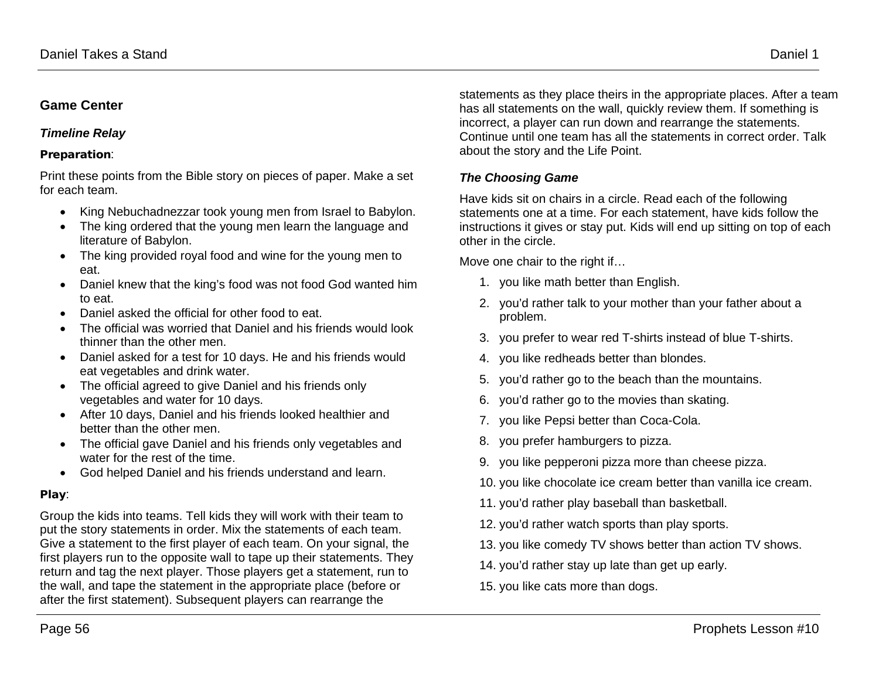## **Game Center**

#### *Timeline Relay*

#### Preparation:

Print these points from the Bible story on pieces of paper. Make a set for each team.

- King Nebuchadnezzar took young men from Israel to Babylon.
- The king ordered that the young men learn the language and literature of Babylon.
- The king provided royal food and wine for the young men to eat.
- Daniel knew that the king's food was not food God wanted him to eat.
- Daniel asked the official for other food to eat.
- The official was worried that Daniel and his friends would look thinner than the other men.
- Daniel asked for a test for 10 days. He and his friends would eat vegetables and drink water.
- The official agreed to give Daniel and his friends only vegetables and water for 10 days.
- After 10 days, Daniel and his friends looked healthier and better than the other men.
- The official gave Daniel and his friends only vegetables and water for the rest of the time.
- God helped Daniel and his friends understand and learn.

#### Play:

Group the kids into teams. Tell kids they will work with their team to put the story statements in order. Mix the statements of each team. Give a statement to the first player of each team. On your signal, the first players run to the opposite wall to tape up their statements. They return and tag the next player. Those players get a statement, run to the wall, and tape the statement in the appropriate place (before or after the first statement). Subsequent players can rearrange the

statements as they place theirs in the appropriate places. After a team has all statements on the wall, quickly review them. If something is incorrect, a player can run down and rearrange the statements. Continue until one team has all the statements in correct order. Talk about the story and the Life Point.

## *The Choosing Game*

Have kids sit on chairs in a circle. Read each of the following statements one at a time. For each statement, have kids follow the instructions it gives or stay put. Kids will end up sitting on top of each other in the circle.

Move one chair to the right if…

- 1. you like math better than English.
- 2. you'd rather talk to your mother than your father about a problem.
- 3. you prefer to wear red T-shirts instead of blue T-shirts.
- 4. you like redheads better than blondes.
- 5. you'd rather go to the beach than the mountains.
- 6. you'd rather go to the movies than skating.
- 7. you like Pepsi better than Coca-Cola.
- 8. you prefer hamburgers to pizza.
- 9. you like pepperoni pizza more than cheese pizza.
- 10. you like chocolate ice cream better than vanilla ice cream.
- 11. you'd rather play baseball than basketball.
- 12. you'd rather watch sports than play sports.
- 13. you like comedy TV shows better than action TV shows.
- 14. you'd rather stay up late than get up early.
- 15. you like cats more than dogs.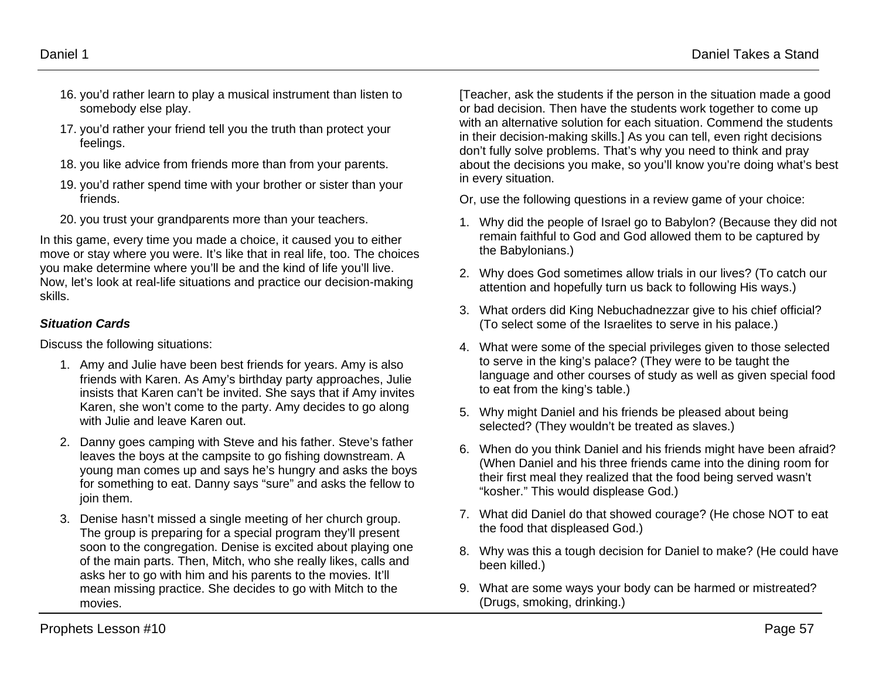- 16. you'd rather learn to play a musical instrument than listen to somebody else play.
- 17. you'd rather your friend tell you the truth than protect your feelings.
- 18. you like advice from friends more than from your parents.
- 19. you'd rather spend time with your brother or sister than your friends.
- 20. you trust your grandparents more than your teachers.

In this game, every time you made a choice, it caused you to either move or stay where you were. It's like that in real life, too. The choices you make determine where you'll be and the kind of life you'll live. Now, let's look at real-life situations and practice our decision-making skills.

## *Situation Cards*

Discuss the following situations:

- 1. Amy and Julie have been best friends for years. Amy is also friends with Karen. As Amy's birthday party approaches, Julie insists that Karen can't be invited. She says that if Amy invites Karen, she won't come to the party. Amy decides to go along with Julie and leave Karen out.
- 2. Danny goes camping with Steve and his father. Steve's father leaves the boys at the campsite to go fishing downstream. A young man comes up and says he's hungry and asks the boys for something to eat. Danny says "sure" and asks the fellow to join them.
- 3. Denise hasn't missed a single meeting of her church group. The group is preparing for a special program they'll present soon to the congregation. Denise is excited about playing one of the main parts. Then, Mitch, who she really likes, calls and asks her to go with him and his parents to the movies. It'll mean missing practice. She decides to go with Mitch to the movies.

[Teacher, ask the students if the person in the situation made a good or bad decision. Then have the students work together to come up with an alternative solution for each situation. Commend the students in their decision-making skills.] As you can tell, even right decisions don't fully solve problems. That's why you need to think and pray about the decisions you make, so you'll know you're doing what's best in every situation.

Or, use the following questions in a review game of your choice:

- 1. Why did the people of Israel go to Babylon? (Because they did not remain faithful to God and God allowed them to be captured by the Babylonians.)
- 2. Why does God sometimes allow trials in our lives? (To catch our attention and hopefully turn us back to following His ways.)
- 3. What orders did King Nebuchadnezzar give to his chief official? (To select some of the Israelites to serve in his palace.)
- 4. What were some of the special privileges given to those selected to serve in the king's palace? (They were to be taught the language and other courses of study as well as given special food to eat from the king's table.)
- 5. Why might Daniel and his friends be pleased about being selected? (They wouldn't be treated as slaves.)
- 6. When do you think Daniel and his friends might have been afraid? (When Daniel and his three friends came into the dining room for their first meal they realized that the food being served wasn't "kosher." This would displease God.)
- 7. What did Daniel do that showed courage? (He chose NOT to eat the food that displeased God.)
- 8. Why was this a tough decision for Daniel to make? (He could have been killed.)
- 9. What are some ways your body can be harmed or mistreated? (Drugs, smoking, drinking.)